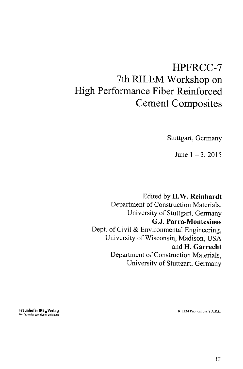## HPFRCC-7 7th RILEM Workshop on High Performance Fiber Reinforced Cement Composites

Stuttgart, Germany

June  $1-3$ , 2015

Edited by H.W. Reinhardt Department of Construction Materials, University of Stuttgart, Germany G.J. Parra-Montesinos Dept. of Civil & Environmental Engineering, University of Wisconsin, Madison, USA and H. Garrecht Department of Construction Materials, University of Stutteart, Germany

**Fraunhofer IRB** verlag rilem Publications S.A.R.L. Der Fachverlag zum Planen und Bauen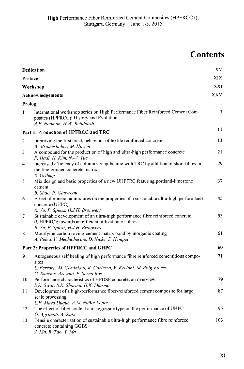## **Contents**

|               | <b>Dedication</b>                                                                                                                                                                                                | XV  |
|---------------|------------------------------------------------------------------------------------------------------------------------------------------------------------------------------------------------------------------|-----|
|               | Preface                                                                                                                                                                                                          |     |
|               | Workshop<br><b>Acknowledgements</b>                                                                                                                                                                              |     |
|               |                                                                                                                                                                                                                  |     |
| Prolog        |                                                                                                                                                                                                                  |     |
| $\mathbf{I}$  | International workshop series on High Performance Fiber Reinforced Cement Com-<br>posites (HPFRCC): History and Evolution<br>A.E. Naaman, H.W. Reinhardt                                                         | 3   |
|               | Part 1: Production of HPFRCC and TRC                                                                                                                                                                             | 11  |
| 2             | Improving the first crack behaviour of textile reinforced concrete<br>W. Brameshuber, M. Hinzen                                                                                                                  | 13  |
| 3             | A compound for the production of high and ultra-high performance concrete<br>P. Hadl, H. Kim, N.-V. Tue                                                                                                          | 21  |
| 4             | Increased efficiency of column strengthening with TRC by addition of short fibres in<br>the fine-grained concrete matrix<br>R. Ortlepp                                                                           | 29  |
| 5             | Mix design and basic properties of a new UHPFRC featuring portland-limestone<br>cement<br>B. Shao, P. Gauvreau                                                                                                   | 37  |
| 6             | Effect of mineral admixtures on the properties of a sustainable ultra-high performance<br>concrete (UHPC)                                                                                                        | 45  |
| 7             | R. Yu, P. Spiesz, H.J.H. Brouwers<br>Sustainable development of an ultra-high performance fibre reinforced concrete<br>(UHPFRC): towards an efficient utilization of fibres<br>R. Yu, P. Spiesz, H.J.H. Brouwers | 53  |
| 8             | Modifying carbon roving-cement matrix bond by inorganic coating<br>A. Peled, V. Mechtcherine, D. Nicke, S. Hempel                                                                                                | 61  |
|               | Part 2: Properties of HPFRCC and UHPC                                                                                                                                                                            | 69  |
| 9             | Autogeneous self healing of high performance fibre reinforced cementitious compo-<br>sites<br>L. Ferrara, M. Geminiani, R. Gorlezza, V. Krelani, M. Roig-Flores,<br>G. Sanchez-Arevalo, P. Serna Ros             | 71  |
| 10            | Performance characteristics of HPDSP concrete: an overview<br>S.K. Swar, S.K. Sharma, H.K. Sharma                                                                                                                | 79  |
| $\mathbf{11}$ | Development of a high-performance fiber-reinforced cement composite for large<br>scale processing<br>L.F. Maya Duque, A.M. Nuñez López                                                                           | 87  |
| 12            | The effect of fiber content and aggregate type on the performance of UHPC<br>G. Agranati, A. Katz                                                                                                                | 95  |
| 13            | Tensile characterization of sustainable ultra-high performance fibre reinforced<br>concrete containing GGBS<br>J. Xia, R. Tao, Y. Ma                                                                             | 103 |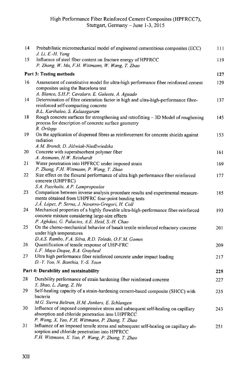| 14 | Probabilistic micromechanical model of engineered cementitious composites (ECC)<br>J. Li, E.-H. Yang                                                                                                                                           | 111 |  |
|----|------------------------------------------------------------------------------------------------------------------------------------------------------------------------------------------------------------------------------------------------|-----|--|
| 15 | Influence of steel fiber content on fracture energy of HPFRCC<br>P. Zhang, W. Ma, F.H. Wittmann, W. Wang, T. Zhao                                                                                                                              | 119 |  |
|    | <b>Part 3: Testing methods</b>                                                                                                                                                                                                                 |     |  |
| 16 | Assessment of constitutive model for ultra-high performance fiber reinforced cement<br>composites using the Barcelona test<br>A. Blanco, S.H.P. Cavalaro, E. Galeote, A. Aguado                                                                | 129 |  |
| 14 | Determination of fibre orientation factor in high and ultra-high-performance fibre-<br>reinforced self-compacting concrete<br>B.L. Karihaloo, S. Kulasegaram                                                                                   | 137 |  |
| 18 | Rough concrete surfaces for strengthening and retrofitting $-3D$ Model of roughening<br>process for description of concrete surface geometry<br>R. Ortlepp                                                                                     | 145 |  |
| 19 | On the application of dispersed fibres as reinforcement for concrete shields against<br>radiation<br>A.M. Brandt, D. Jóźwiak-Niedźwiedzka                                                                                                      | 153 |  |
| 20 | Concrete with superabsorbent polymer fiber<br>A. Assmann, H.W. Reinhardt                                                                                                                                                                       | 161 |  |
| 21 | Water penetration into HPFRCC under imposed strain<br>P. Zhang, F.H. Wittmann, P. Wang, T. Zhao                                                                                                                                                | 169 |  |
| 22 | Size effect on the flexural performance of ultra high performance fiber reinforced<br>concrete (UHPFRC)<br>S.A. Paschalis, A.P. Lampropoulos                                                                                                   | 177 |  |
| 23 | Comparison between inverse analysis procedure results and experimental measure-<br>ments obtained from UHPFRC four-point bending tests<br>J.A. López, P. Serna, J. Navarro-Gregori, H. Coll                                                    | 185 |  |
| 24 | Mechanical properties of a highly flowable ultra-high-performance fiber-reinforced<br>concrete mixture considering large-size effects<br>P. Aghdasi, G. Palacios, A.E. Heid, S.-H. Chao                                                        | 193 |  |
| 25 | On the chemo-mechanical behavior of basalt textile reinforced refractory concrete<br>under high temperatures                                                                                                                                   | 201 |  |
| 26 | D.A.S. Rambo, F.A. Silva, R.D. Toledo, O.F.M. Gomes<br>Quantification of tensile response of UHP-FRC<br>L.F. Maya Duque, B.A. Graybeal                                                                                                         | 209 |  |
| 27 | Ultra high performance fiber reinforced concrete under impact loading<br>D.-Y. Yoo, N. Banthia, Y.-S. Yoon                                                                                                                                     | 217 |  |
|    | Part 4: Durability and sustainability                                                                                                                                                                                                          | 225 |  |
| 28 | Durability performance of strain hardening fiber reinforced concrete<br>Y. Shao, L. Jiang, Z. He                                                                                                                                               | 227 |  |
| 29 | Self-healing capacity of a strain-hardening cement-based composite (SHCC) with<br>bacteria<br>M.G. Sierra Beltran, H.M. Jonkers, E. Schlangen                                                                                                  | 235 |  |
| 30 | Influence of imposed compressive stress and subsequent self-healing on capillary<br>absorption and chloride penetration into UHPFRCC                                                                                                           | 243 |  |
| 31 | P. Wang, X. Yao, F.H. Wittmann, P. Zhang, T. Zhao<br>Influence of an imposed tensile stress and subsequent self-healing on capillary ab-<br>sorption and chloride penetration into HPFRCC<br>F.H. Wittmann, X. Yao, P. Wang, P. Zhang, T. Zhao | 251 |  |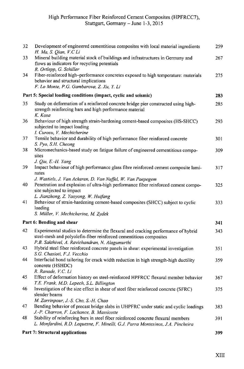| 32 | Development of engineered cementitious composites with local material ingredients<br>H. Ma, S. Qian, V.C Li                                                                                                | 259. |
|----|------------------------------------------------------------------------------------------------------------------------------------------------------------------------------------------------------------|------|
| 33 | Mineral building material stock of buildings and infrastructures in Germany and<br>flows as indicators for recycling potentials<br>R. Ortlepp, G. Schiller                                                 | 267  |
| 34 | Fiber-reinforced high-performance concretes exposed to high temperature: materials<br>behavior and structural implications<br>F. Lo Monte, P.G. Gambarova, Z. Xu, Y. Li                                    | 275  |
|    | Part 5: Special loading conditions (impact, cyclic and seismic)                                                                                                                                            | 283  |
| 35 | Study on deformation of a reinforced concrete bridge pier constructed using high-<br>strength reinforcing bars and high performance material<br>K. Kosa                                                    | 285  |
| 36 | Behaviour of high strength strain-hardening cement-based composites (HS-SHCC)<br>subjected to impact loading<br>I. Curosu, V. Mechtcherine                                                                 | 293  |
| 37 | Tensile behavior and durability of high performance fiber reinforced concrete<br>S. Pyo, S.H. Cheong                                                                                                       | 301  |
| 38 | Micromechanics-based study on fatigue failure of engineered cementitious compo-<br>sites                                                                                                                   | 309  |
| 39 | J. Qiu, E.-H. Yang<br>Impact behaviour of high performance glass fibre reinforced cement composite lami-<br>nates                                                                                          | 317  |
| 40 | J. Wastiels, J. Van Ackeren, D. Van Nuffel, W. Van Paepegem<br>Penetration and explosion of ultra-high performance fiber reinforced cement compo-<br>site subjected to impact                              | 325  |
| 41 | L. Jianzhong, Z. Yaoyong, W. Huifang<br>Behaviour of strain-hardening cement-based composites (SHCC) subject to cyclic<br>loading<br>S. Müller, V. Mechtcherine, M. Zydek                                  | 333  |
|    | Part 6: Bending and shear                                                                                                                                                                                  | 341  |
| 42 | Experimental studies to determine the flexural and cracking performance of hybrid<br>steel-mesh and polyolefin-fiber reinforced cementitious composites<br>P.B. Sakthivel, A. Ravichandran, N. Alagumurthi | 343  |
| 43 | Hybrid steel fiber reinforced concrete panels in shear: experimental investigation<br>S.G. Chasioti, F.J. Vecchio                                                                                          | 351  |
| 44 | Interfacial bond tailoring for crack width reduction in high strength-high ductility<br>concrete (HSHDC)<br>R. Ranade, V.C. Li                                                                             | 359  |
| 45 | Effect of deformation history on steel-reinforced HPFRCC flexural member behavior<br>T.E. Frank, M.D. Lepech, S.L. Billington                                                                              | 367  |
| 46 | Investigation of the size effect in shear of steel fiber reinforced concrete (SFRC)<br>slender beams                                                                                                       | 375  |
| 47 | M. Zarrinpour, J.-S. Cho, S.-H. Chao<br>Bending behavior of precast bridge slabs in UHPFRC under static and cyclic loadings<br>J.-P. Charron, F. Lachance, B. Massicotte                                   | 383  |
| 48 | Stability of reinforcing bars in steel fiber reinforced concrete flexural members<br>L. Monfardini, R.D. Lequesne, F. Minelli, G.J. Parra Montesinos, J.A. Pincheira                                       | 391  |
|    | Part 7: Structural applications                                                                                                                                                                            | 399  |